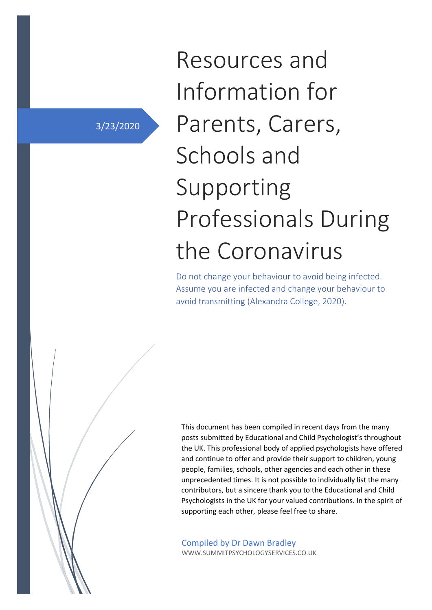3/23/2020

# Resources and Information for Parents, Carers, Schools and Supporting Professionals During the Coronavirus

Do not change your behaviour to avoid being infected. Assume you are infected and change your behaviour to avoid transmitting (Alexandra College, 2020).

This document has been compiled in recent days from the many posts submitted by Educational and Child Psychologist's throughout the UK. This professional body of applied psychologists have offered and continue to offer and provide their support to children, young people, families, schools, other agencies and each other in these unprecedented times. It is not possible to individually list the many contributors, but a sincere thank you to the Educational and Child Psychologists in the UK for your valued contributions. In the spirit of supporting each other, please feel free to share.

Compiled by Dr Dawn Bradley WWW.SUMMITPSYCHOLOGYSERVICES.CO.UK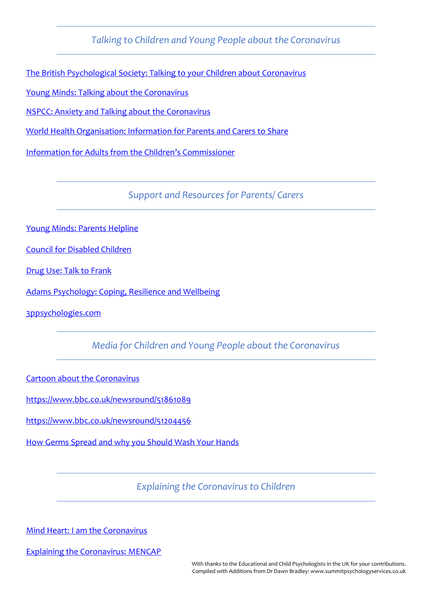*Talking to Children and Young People about the Coronavirus*

[The British Psychological Society: Talking](https://www.bps.org.uk/news-and-policy/bps-highlights-importance-talking-children-about-coronavirus) to your Children about Coronavirus

[Young Minds: Talking about the Coronavirus](https://youngminds.org.uk/blog/talking-to-your-child-about-coronavirus/)

[NSPCC: Anxiety and Talking about the](https://www.nspcc.org.uk/keeping-children-safe/childrens-mental-health/depression-anxiety-mental-health/) Coronavirus

[World Health Organisation: Information for Parents and Carers](https://www.who.int/docs/default-source/coronaviruse/helping-children-cope-with-stress-print.pdf?sfvrsn=f3a063ff_2) to Share

[Information for Adults from the Children](https://www.childrenscommissioner.gov.uk/2020/03/17/supporting-children-during-the-coronavirus-outbreak/)'s Commissioner

*Support and Resources for Parents/ Carers*

[Young Minds: Parents Helpline](https://youngminds.org.uk/find-help/for-parents/parents-helpline/)

[Council for Disabled Children](https://councilfordisabledchildren.org.uk/news-opinion/news/covid-19-support-and-guidance)

[Drug Use: Talk to Frank](https://www.talktofrank.com/)

Adams Psychology: [Coping, Resilience and Wellbeing](http://www.adamspsychologyservices.co.uk/coronavirus.html)

[3ppsychologies.com](https://3ppsychologies.com/2020/03/23/resources-52-covid-19-10-more-activities-for-home-you-are-not-alone/)

*Media for Children and Young People about the Coronavirus*

[Cartoon about the Coronavirus](https://www.brainpop.com/health/diseasesinjuriesandconditions/coronavirus/)

<https://www.bbc.co.uk/newsround/51861089>

<https://www.bbc.co.uk/newsround/51204456>

How Germs Spread [and why you Should Wash Your Hands](https://www.youtube.com/watch?v=I5-dI74zxPg&t=267s)

*Explaining the Coronavirus to Children*

Mind [Heart: I am the Coronavirus](https://660919d3-b85b-43c3-a3ad-3de6a9d37099.filesusr.com/ugd/64c685_319c5acf38d34604b537ac9fae37fc80.pdf)

[Explaining the Coronavirus: MENCAP](https://www.mencap.org.uk/sites/default/files/2020-03/Information%20about%20Coronavirus%20ER%20UPDATED%20130320%20SD%20editsAH.pdf)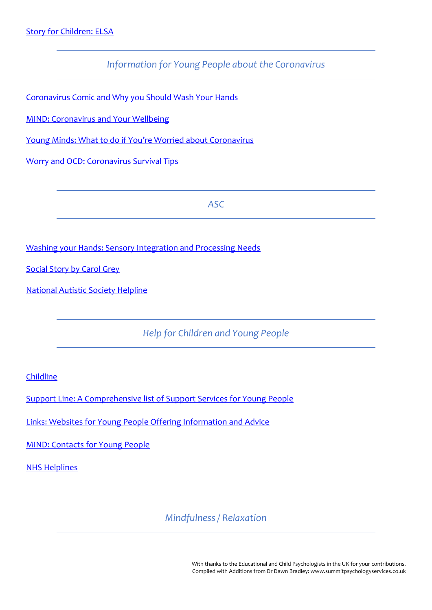*Information for Young People about the Coronavirus*

Coronavirus [Comic and Why you Should Wash Your Hands](https://www.npr.org/sections/goatsandsoda/2020/03/12/814414450/comic-i-spent-a-day-in-coronavirus-awareness-mode-epidemiologists-how-did-i-do?t=1585510620674)

[MIND: Coronavirus and Your Wellbeing](https://www.mind.org.uk/information-support/coronavirus-and-your-wellbeing/)

[Young Minds: What to do](https://youngminds.org.uk/blog/what-to-do-if-you-re-anxious-about-coronavirus/) if You're Worried about Coronavirus

Worry [and OCD: Coronavirus Survival Tips](https://www.ocduk.org/ocd-and-coronavirus-survival-tips/)

*ASC*

[Washing your Hands: Sensory Integration and Processing Needs](https://www.sensoryintegration.org.uk/News/8821506)

[Social Story by Carol Grey](https://carolgraysocialstories.com/wp-content/uploads/2020/03/Pandemics-and-the-Coronavirus.pdf)

[National Autistic Society](https://www.autism.org.uk/services/helplines/main.aspx) Helpline

*Help for Children and Young People*

[Childline](https://www.childline.org.uk/)

Support [Line: A Comprehensive list of Support Services for Young People](https://www.supportline.org.uk/problems/children-and-young-people-support/)

[Links: Websites for Young People Offering Information](https://www.youthaccess.org.uk/supernav/links) and Advice

[MIND: Contacts for Young People](https://www.mind.org.uk/information-support/for-children-and-young-people/useful-contacts/)

[NHS Helplines](https://www.nhs.uk/conditions/stress-anxiety-depression/mental-health-helplines/)

*Mindfulness / Relaxation*

With thanks to the Educational and Child Psychologists in the UK for your contributions. Compiled with Additions from Dr Dawn Bradley: www.summitpsychologyservices.co.uk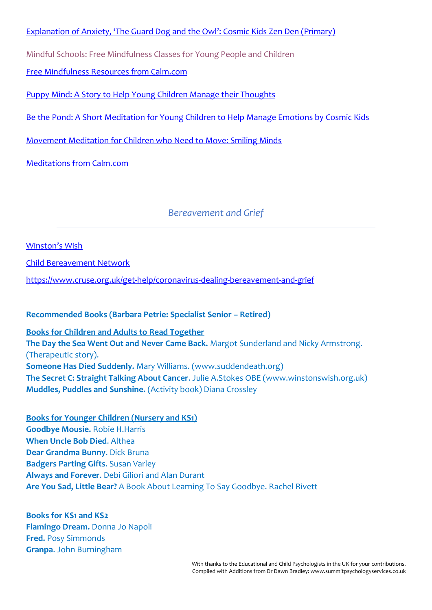Explanation of Anxiety, '[The Guard Dog and the Owl](https://www.youtube.com/watch?v=so8QN9an3t8)': Cosmic Kids Zen Den (Primary)

[Mindful Schools: Free Mindfulness Classes for Young People and Children](https://www.mindfulschools.org/free-online-mindfulness-class-for-kids/)

[Free Mindfulness Resources from Calm.com](https://www.calm.com/blog/take-a-deep-breath)

Puppy Mind: A [Story to Help Young Children Manage their Thoughts](https://www.youtube.com/watch?v=Xd7Cr265zgc)

Be the Pond: A [Short Meditation for Young Children to Help](https://www.youtube.com/watch?v=wf5K3pP2IUQ) Manage Emotions by Cosmic Kids

[Movement Meditation for Children who Need to Move: Smiling Minds](https://www.youtube.com/watch?v=buPuB4Sa0zU)

[Meditations from Calm.com](https://www.calm.com/blog/take-a-deep-breath?utm_medium=email&utm_campaign=715072-free-mindfulness-resources-from-calm&utm_source=lists%2F51225-Ultimate-LoveLife-Makeover-Summit&simplero_object_id=su_eWE1de2opeEQMZhT61XBFMVm)

*Bereavement and Grief*

[Winston's](https://www.winstonswish.org/) Wish

[Child Bereavement Network](http://www.childhoodbereavementnetwork.org.uk/)

<https://www.cruse.org.uk/get-help/coronavirus-dealing-bereavement-and-grief>

**Recommended Books (Barbara Petrie: Specialist Senior – Retired)**

**Books for Children and Adults to Read Together The Day the Sea Went Out and Never Came Back.** Margot Sunderland and Nicky Armstrong. (Therapeutic story). **Someone Has Died Suddenly.** Mary Williams. (www.suddendeath.org) **The Secret C: Straight Talking About Cancer**. Julie A.Stokes OBE (www.winstonswish.org.uk) **Muddles, Puddles and Sunshine.** (Activity book) Diana Crossley

**Books for Younger Children (Nursery and KS1) Goodbye Mousie.** Robie H.Harris **When Uncle Bob Died**. Althea **Dear Grandma Bunny**. Dick Bruna **Badgers Parting Gifts**. Susan Varley **Always and Forever**. Debi Giliori and Alan Durant **Are You Sad, Little Bear?** A Book About Learning To Say Goodbye. Rachel Rivett

**Books for KS1 and KS2 Flamingo Dream.** Donna Jo Napoli **Fred.** Posy Simmonds **Granpa**. John Burningham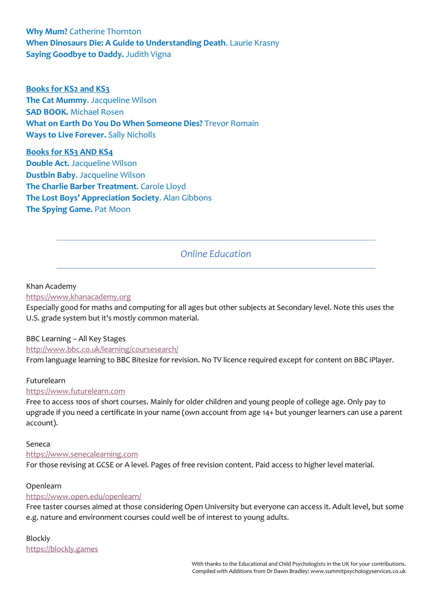**Why Mum?** Catherine Thornton **When Dinosaurs Die: A Guide to Understanding Death**. Laurie Krasny **Saying Goodbye to Daddy.** Judith Vigna

**Books for KS2 and KS3 The Cat Mummy**. Jacqueline Wilson **SAD BOOK.** Michael Rosen **What on Earth Do You Do When Someone Dies?** Trevor Romain **Ways to Live Forever.** Sally Nicholls

**Books for KS3 AND KS4 Double Act.** Jacqueline Wilson **Dustbin Baby**. Jacqueline Wilson **The Charlie Barber Treatment**. Carole Lloyd **The Lost Boys' Appreciation Society**. Alan Gibbons **The Spying Game.** Pat Moon

# *Online Education*

#### Khan Academy

#### [https://www.khanacademy.org](https://www.khanacademy.org/)

Especially good for maths and computing for all ages but other subjects at Secondary level. Note this uses the U.S. grade system but it's mostly common material.

#### BBC Learning – All Key Stages

#### <http://www.bbc.co.uk/learning/coursesearch/>

From language learning to BBC Bitesize for revision. No TV licence required except for content on BBC iPlayer.

#### Futurelearn

#### [https://www.futurelearn.com](https://www.futurelearn.com/)

Free to access 100s of short courses. Mainly for older children and young people of college age. Only pay to upgrade if you need a certificate in your name (own account from age 14+ but younger learners can use a parent account).

#### Seneca

#### [https://www.senecalearning.com](https://www.senecalearning.com/)

For those revising at GCSE or A level. Pages of free revision content. Paid access to higher level material.

#### Openlearn

#### <https://www.open.edu/openlearn/>

Free taster courses aimed at those considering Open University but everyone can access it. Adult level, but some e.g. nature and environment courses could well be of interest to young adults.

#### Blockly

[https://blockly.games](https://blockly.games/)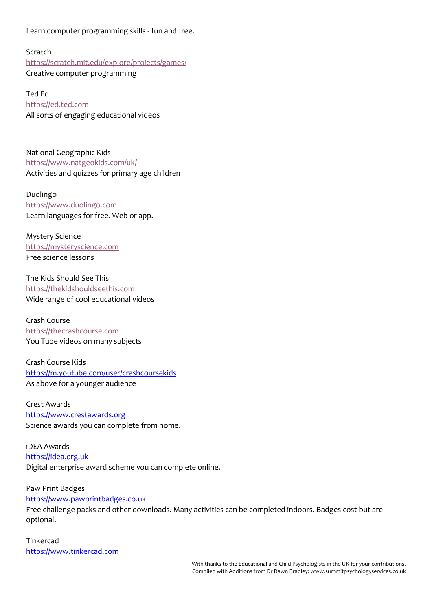Learn computer programming skills - fun and free.

Scratch <https://scratch.mit.edu/explore/projects/games/> Creative computer programming

Ted Ed [https://ed.ted.com](https://ed.ted.com/) All sorts of engaging educational videos

National Geographic Kids <https://www.natgeokids.com/uk/> Activities and quizzes for primary age children

Duolingo [https://www.duolingo.com](https://www.duolingo.com/) Learn languages for free. Web or app.

Mystery Science [https://mysteryscience.com](https://mysteryscience.com/) Free science lessons

The Kids Should See This [https://thekidshouldseethis.com](https://thekidshouldseethis.com/) Wide range of cool educational videos

Crash Course [https://thecrashcourse.com](https://thecrashcourse.com/) You Tube videos on many subjects

Crash Course Kids <https://m.youtube.com/user/crashcoursekids> As above for a younger audience

Crest Awards [https://www.crestawards.org](https://www.crestawards.org/) Science awards you can complete from home.

iDEA Awards [https://idea.org.uk](https://idea.org.uk/) Digital enterprise award scheme you can complete online.

Paw Print Badges [https://www.pawprintbadges.co.uk](https://www.pawprintbadges.co.uk/)

Free challenge packs and other downloads. Many activities can be completed indoors. Badges cost but are optional.

Tinkercad [https://www.tinkercad.com](https://www.tinkercad.com/)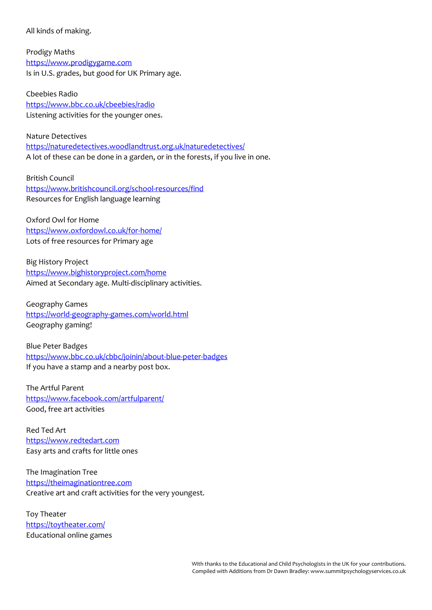All kinds of making.

Prodigy Maths [https://www.prodigygame.com](https://www.prodigygame.com/) Is in U.S. grades, but good for UK Primary age.

Cbeebies Radio <https://www.bbc.co.uk/cbeebies/radio> Listening activities for the younger ones.

Nature Detectives <https://naturedetectives.woodlandtrust.org.uk/naturedetectives/> A lot of these can be done in a garden, or in the forests, if you live in one.

British Council <https://www.britishcouncil.org/school-resources/find> Resources for English language learning

Oxford Owl for Home <https://www.oxfordowl.co.uk/for-home/> Lots of free resources for Primary age

Big History Project <https://www.bighistoryproject.com/home> Aimed at Secondary age. Multi-disciplinary activities.

Geography Games <https://world-geography-games.com/world.html> Geography gaming!

Blue Peter Badges <https://www.bbc.co.uk/cbbc/joinin/about-blue-peter-badges> If you have a stamp and a nearby post box.

The Artful Parent <https://www.facebook.com/artfulparent/> Good, free art activities

Red Ted Art [https://www.redtedart.com](https://www.redtedart.com/) Easy arts and crafts for little ones

The Imagination Tree [https://theimaginationtree.com](https://theimaginationtree.com/) Creative art and craft activities for the very youngest.

Toy Theater <https://toytheater.com/> Educational online games